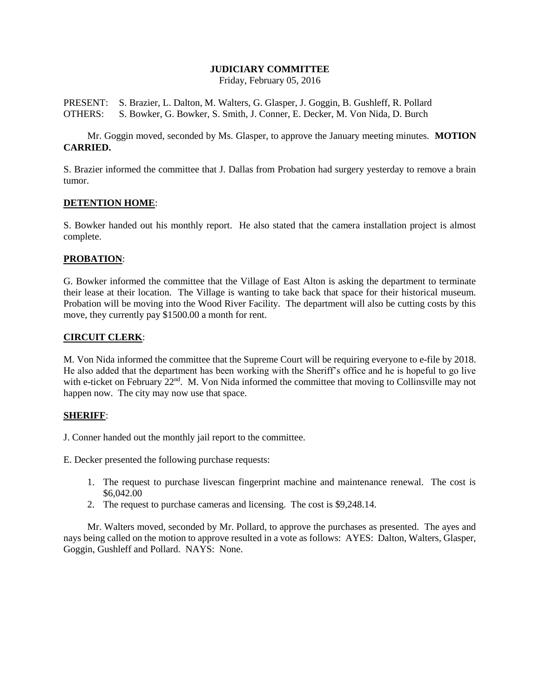#### **JUDICIARY COMMITTEE**

Friday, February 05, 2016

PRESENT: S. Brazier, L. Dalton, M. Walters, G. Glasper, J. Goggin, B. Gushleff, R. Pollard OTHERS: S. Bowker, G. Bowker, S. Smith, J. Conner, E. Decker, M. Von Nida, D. Burch

Mr. Goggin moved, seconded by Ms. Glasper, to approve the January meeting minutes. **MOTION CARRIED.**

S. Brazier informed the committee that J. Dallas from Probation had surgery yesterday to remove a brain tumor.

#### **DETENTION HOME**:

S. Bowker handed out his monthly report. He also stated that the camera installation project is almost complete.

## **PROBATION**:

G. Bowker informed the committee that the Village of East Alton is asking the department to terminate their lease at their location. The Village is wanting to take back that space for their historical museum. Probation will be moving into the Wood River Facility. The department will also be cutting costs by this move, they currently pay \$1500.00 a month for rent.

## **CIRCUIT CLERK**:

M. Von Nida informed the committee that the Supreme Court will be requiring everyone to e-file by 2018. He also added that the department has been working with the Sheriff's office and he is hopeful to go live with e-ticket on February 22<sup>nd</sup>. M. Von Nida informed the committee that moving to Collinsville may not happen now. The city may now use that space.

# **SHERIFF**:

J. Conner handed out the monthly jail report to the committee.

E. Decker presented the following purchase requests:

- 1. The request to purchase livescan fingerprint machine and maintenance renewal. The cost is \$6,042.00
- 2. The request to purchase cameras and licensing. The cost is \$9,248.14.

Mr. Walters moved, seconded by Mr. Pollard, to approve the purchases as presented. The ayes and nays being called on the motion to approve resulted in a vote as follows: AYES: Dalton, Walters, Glasper, Goggin, Gushleff and Pollard. NAYS: None.